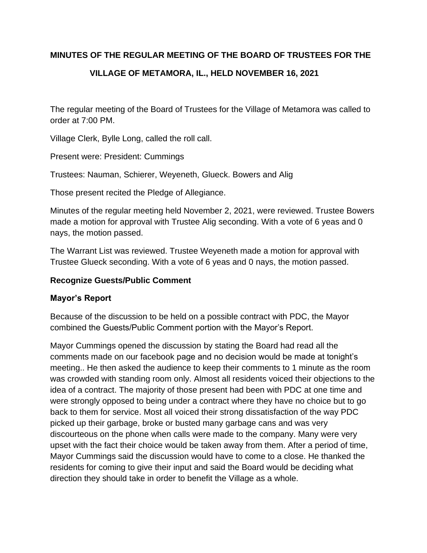## **MINUTES OF THE REGULAR MEETING OF THE BOARD OF TRUSTEES FOR THE**

# **VILLAGE OF METAMORA, IL., HELD NOVEMBER 16, 2021**

The regular meeting of the Board of Trustees for the Village of Metamora was called to order at 7:00 PM.

Village Clerk, Bylle Long, called the roll call.

Present were: President: Cummings

Trustees: Nauman, Schierer, Weyeneth, Glueck. Bowers and Alig

Those present recited the Pledge of Allegiance.

Minutes of the regular meeting held November 2, 2021, were reviewed. Trustee Bowers made a motion for approval with Trustee Alig seconding. With a vote of 6 yeas and 0 nays, the motion passed.

The Warrant List was reviewed. Trustee Weyeneth made a motion for approval with Trustee Glueck seconding. With a vote of 6 yeas and 0 nays, the motion passed.

### **Recognize Guests/Public Comment**

#### **Mayor's Report**

Because of the discussion to be held on a possible contract with PDC, the Mayor combined the Guests/Public Comment portion with the Mayor's Report.

Mayor Cummings opened the discussion by stating the Board had read all the comments made on our facebook page and no decision would be made at tonight's meeting.. He then asked the audience to keep their comments to 1 minute as the room was crowded with standing room only. Almost all residents voiced their objections to the idea of a contract. The majority of those present had been with PDC at one time and were strongly opposed to being under a contract where they have no choice but to go back to them for service. Most all voiced their strong dissatisfaction of the way PDC picked up their garbage, broke or busted many garbage cans and was very discourteous on the phone when calls were made to the company. Many were very upset with the fact their choice would be taken away from them. After a period of time, Mayor Cummings said the discussion would have to come to a close. He thanked the residents for coming to give their input and said the Board would be deciding what direction they should take in order to benefit the Village as a whole.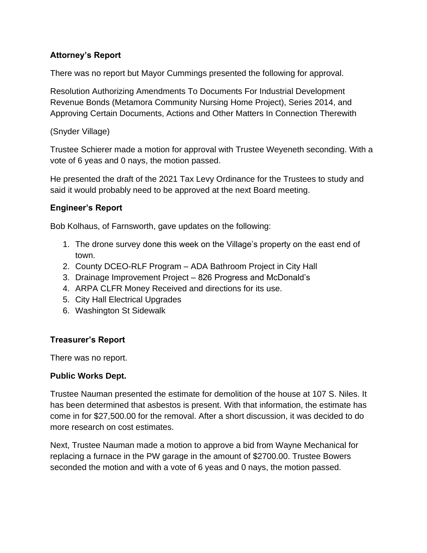# **Attorney's Report**

There was no report but Mayor Cummings presented the following for approval.

Resolution Authorizing Amendments To Documents For Industrial Development Revenue Bonds (Metamora Community Nursing Home Project), Series 2014, and Approving Certain Documents, Actions and Other Matters In Connection Therewith

(Snyder Village)

Trustee Schierer made a motion for approval with Trustee Weyeneth seconding. With a vote of 6 yeas and 0 nays, the motion passed.

He presented the draft of the 2021 Tax Levy Ordinance for the Trustees to study and said it would probably need to be approved at the next Board meeting.

## **Engineer's Report**

Bob Kolhaus, of Farnsworth, gave updates on the following:

- 1. The drone survey done this week on the Village's property on the east end of town.
- 2. County DCEO-RLF Program ADA Bathroom Project in City Hall
- 3. Drainage Improvement Project 826 Progress and McDonald's
- 4. ARPA CLFR Money Received and directions for its use.
- 5. City Hall Electrical Upgrades
- 6. Washington St Sidewalk

## **Treasurer's Report**

There was no report.

#### **Public Works Dept.**

Trustee Nauman presented the estimate for demolition of the house at 107 S. Niles. It has been determined that asbestos is present. With that information, the estimate has come in for \$27,500.00 for the removal. After a short discussion, it was decided to do more research on cost estimates.

Next, Trustee Nauman made a motion to approve a bid from Wayne Mechanical for replacing a furnace in the PW garage in the amount of \$2700.00. Trustee Bowers seconded the motion and with a vote of 6 yeas and 0 nays, the motion passed.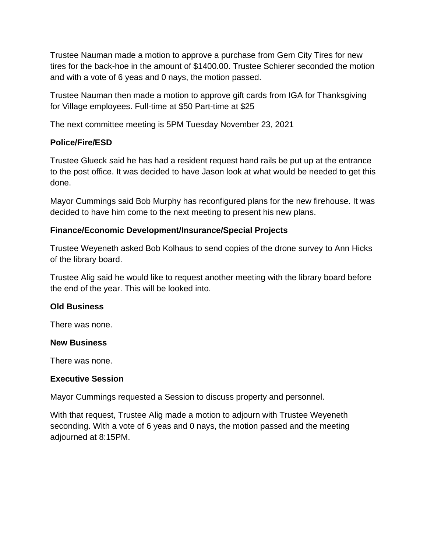Trustee Nauman made a motion to approve a purchase from Gem City Tires for new tires for the back-hoe in the amount of \$1400.00. Trustee Schierer seconded the motion and with a vote of 6 yeas and 0 nays, the motion passed.

Trustee Nauman then made a motion to approve gift cards from IGA for Thanksgiving for Village employees. Full-time at \$50 Part-time at \$25

The next committee meeting is 5PM Tuesday November 23, 2021

## **Police/Fire/ESD**

Trustee Glueck said he has had a resident request hand rails be put up at the entrance to the post office. It was decided to have Jason look at what would be needed to get this done.

Mayor Cummings said Bob Murphy has reconfigured plans for the new firehouse. It was decided to have him come to the next meeting to present his new plans.

#### **Finance/Economic Development/Insurance/Special Projects**

Trustee Weyeneth asked Bob Kolhaus to send copies of the drone survey to Ann Hicks of the library board.

Trustee Alig said he would like to request another meeting with the library board before the end of the year. This will be looked into.

#### **Old Business**

There was none.

#### **New Business**

There was none.

#### **Executive Session**

Mayor Cummings requested a Session to discuss property and personnel.

With that request, Trustee Alig made a motion to adjourn with Trustee Weyeneth seconding. With a vote of 6 yeas and 0 nays, the motion passed and the meeting adjourned at 8:15PM.